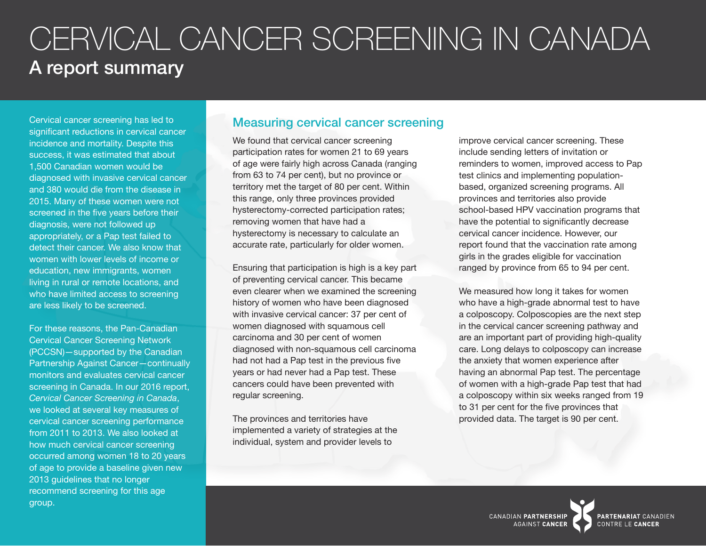# CERVICAL CANCER SCREENING IN CANADA A report summary

Cervical cancer screening has led to significant reductions in cervical cancer incidence and mortality. Despite this success, it was estimated that about 1,500 Canadian women would be diagnosed with invasive cervical cancer and 380 would die from the disease in 2015. Many of these women were not screened in the five years before their diagnosis, were not followed up appropriately, or a Pap test failed to detect their cancer. We also know that women with lower levels of income or education, new immigrants, women living in rural or remote locations, and who have limited access to screening are less likely to be screened.

For these reasons, the Pan-Canadian Cervical Cancer Screening Network (PCCSN)—supported by the Canadian Partnership Against Cancer—continually monitors and evaluates cervical cancer screening in Canada. In our 2016 report, *Cervical Cancer Screening in Canada*, we looked at several key measures of cervical cancer screening performance from 2011 to 2013. We also looked at how much cervical cancer screening occurred among women 18 to 20 years of age to provide a baseline given new 2013 guidelines that no longer recommend screening for this age group.

#### Measuring cervical cancer screening

We found that cervical cancer screening participation rates for women 21 to 69 years of age were fairly high across Canada (ranging from 63 to 74 per cent), but no province or territory met the target of 80 per cent. Within this range, only three provinces provided hysterectomy-corrected participation rates; removing women that have had a hysterectomy is necessary to calculate an accurate rate, particularly for older women.

Ensuring that participation is high is a key part of preventing cervical cancer. This became even clearer when we examined the screening history of women who have been diagnosed with invasive cervical cancer: 37 per cent of women diagnosed with squamous cell carcinoma and 30 per cent of women diagnosed with non-squamous cell carcinoma had not had a Pap test in the previous five years or had never had a Pap test. These cancers could have been prevented with regular screening.

The provinces and territories have implemented a variety of strategies at the individual, system and provider levels to

improve cervical cancer screening. These include sending letters of invitation or reminders to women, improved access to Pap test clinics and implementing populationbased, organized screening programs. All provinces and territories also provide school-based HPV vaccination programs that have the potential to significantly decrease cervical cancer incidence. However, our report found that the vaccination rate among girls in the grades eligible for vaccination ranged by province from 65 to 94 per cent.

We measured how long it takes for women who have a high-grade abnormal test to have a colposcopy. Colposcopies are the next step in the cervical cancer screening pathway and are an important part of providing high-quality care. Long delays to colposcopy can increase the anxiety that women experience after having an abnormal Pap test. The percentage of women with a high-grade Pap test that had a colposcopy within six weeks ranged from 19 to 31 per cent for the five provinces that provided data. The target is 90 per cent.